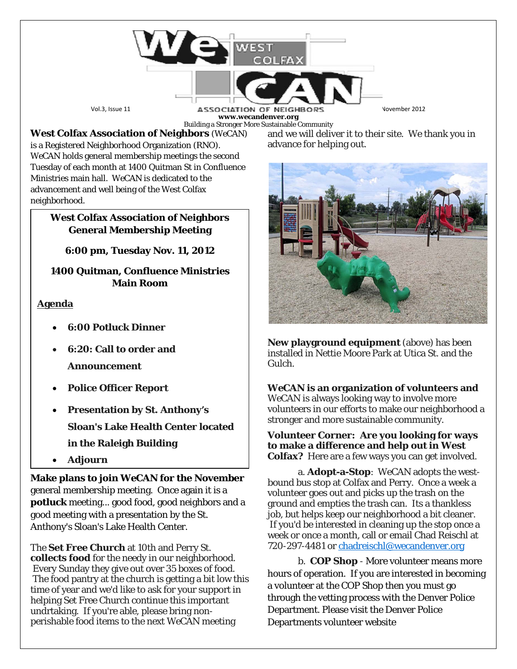Vol.3, Issue 11 **ASSOCIATION OF NEIGHBORS** Volember 2012 **www.wecandenver.org** Building a Stronger More Sustainable Community

**West Colfax Association of Neighbors** (*WeCAN*) is a Registered Neighborhood Organization (RNO). *WeCAN* holds general membership meetings the second Tuesday of each month at 1400 Quitman St in Confluence Ministries main hall. *WeCAN* is dedicated to the advancement and well being of the West Colfax neighborhood.

### **West Colfax Association of Neighbors General Membership Meeting**

**6:00 pm, Tuesday Nov. 11, 2012**

**1400 Quitman, Confluence Ministries Main Room**

# **Agenda**

- **6:00 Potluck Dinner**
- **6:20: Call to order and Announcement**
- **Police Officer Report**
- **Presentation by St. Anthony's Sloan's Lake Health Center located in the Raleigh Building**
- **Adjourn**

**Make plans to join** *WeCAN* **for the November**  general membership meeting. Once again it is a **potluck** meeting... good food, good neighbors and a good meeting with a presentation by the St. Anthony's Sloan's Lake Health Center.

The **Set Free Church** at 10th and Perry St. **collects food** for the needy in our neighborhood. Every Sunday they give out over 35 boxes of food. The food pantry at the church is getting a bit low this time of year and we'd like to ask for your support in helping Set Free Church continue this important undrtaking. If you're able, please bring nonperishable food items to the next *WeCAN* meeting

and we will deliver it to their site. We thank you in advance for helping out.



**New playground equipment** (above) has been installed in Nettie Moore Park at Utica St. and the Gulch.

# *WeCAN* **is an organization of volunteers and**

*WeCAN* is always looking way to involve more volunteers in our efforts to make our neighborhood a stronger and more sustainable community.

#### **Volunteer Corner: Are you looking for ways to make a difference and help out in West Colfax?** Here are a few ways you can get involved.

a. **Adopt-a-Stop**: WeCAN adopts the westbound bus stop at Colfax and Perry. Once a week a volunteer goes out and picks up the trash on the ground and empties the trash can. Its a thankless job, but helps keep our neighborhood a bit cleaner. If you'd be interested in cleaning up the stop once a week or once a month, call or email Chad Reischl at 720-297-4481 or [chadreischl@wecandenver.org](mailto:chadreischl@wecandenver.org)

b. **COP Shop** - More volunteer means more hours of operation. If you are interested in becoming a volunteer at the COP Shop then you must go through the vetting process with the Denver Police Department. Please visit the Denver Police Departments volunteer website